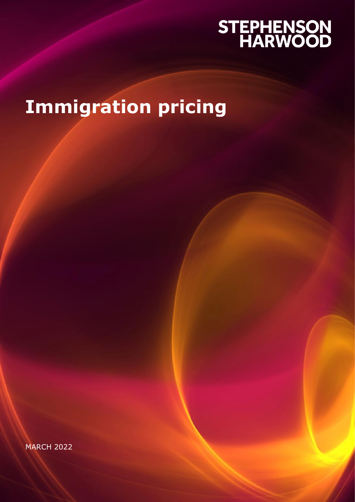# STEPHENSON<br>HARWOOD

# **Immigration pricing**

MARCH 2022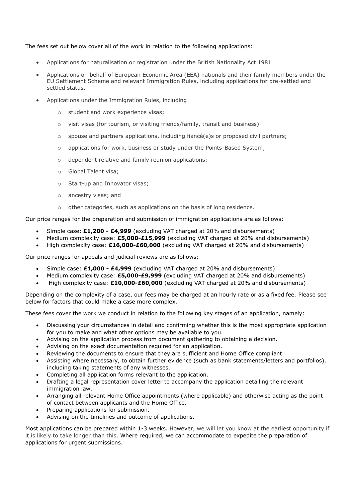#### The fees set out below cover all of the work in relation to the following applications:

- Applications for naturalisation or registration under the British Nationality Act 1981
- Applications on behalf of European Economic Area (EEA) nationals and their family members under the EU Settlement Scheme and relevant Immigration Rules, including applications for pre-settled and settled status.
- Applications under the Immigration Rules, including:
	- student and work experience visas;
	- o visit visas (for tourism, or visiting friends/family, transit and business)
	- $\circ$  spouse and partners applications, including fiancé(e)s or proposed civil partners;
	- o applications for work, business or study under the Points-Based System;
	- o dependent relative and family reunion applications;
	- o Global Talent visa;
	- o Start-up and Innovator visas;
	- o ancestry visas; and
	- o other categories, such as applications on the basis of long residence.

Our price ranges for the preparation and submission of immigration applications are as follows:

- Simple case**: £1,200 - £4,999** (excluding VAT charged at 20% and disbursements)
- Medium complexity case: **£5,000-£15,999** (excluding VAT charged at 20% and disbursements)
- High complexity case: **£16,000-£60,000** (excluding VAT charged at 20% and disbursements)

Our price ranges for appeals and judicial reviews are as follows:

- Simple case: **£1,000 - £4,999** (excluding VAT charged at 20% and disbursements)
- Medium complexity case: **£5,000-£9,999** (excluding VAT charged at 20% and disbursements)
- High complexity case: **£10,000-£60,000** (excluding VAT charged at 20% and disbursements)

Depending on the complexity of a case, our fees may be charged at an hourly rate or as a fixed fee. Please see below for factors that could make a case more complex.

These fees cover the work we conduct in relation to the following key stages of an application, namely:

- Discussing your circumstances in detail and confirming whether this is the most appropriate application for you to make and what other options may be available to you.
- Advising on the application process from document gathering to obtaining a decision.
- Advising on the exact documentation required for an application.
- Reviewing the documents to ensure that they are sufficient and Home Office compliant.
- Assisting where necessary, to obtain further evidence (such as bank statements/letters and portfolios), including taking statements of any witnesses.
- Completing all application forms relevant to the application.
- Drafting a legal representation cover letter to accompany the application detailing the relevant immigration law.
- Arranging all relevant Home Office appointments (where applicable) and otherwise acting as the point of contact between applicants and the Home Office.
- Preparing applications for submission.
- Advising on the timelines and outcome of applications.

Most applications can be prepared within 1-3 weeks. However, we will let you know at the earliest opportunity if it is likely to take longer than this. Where required, we can accommodate to expedite the preparation of applications for urgent submissions.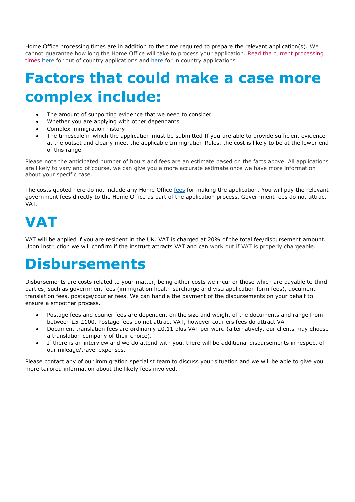Home Office processing times are in addition to the time required to prepare the relevant application(s). We cannot guarantee how long the Home Office will take to process your application. [Read the current processing](https://www.gov.uk/visa-processing-times)  [times](https://www.gov.uk/visa-processing-times) [here](https://www.gov.uk/guidance/visa-decision-waiting-times-applications-outside-the-uk) for out of country applications and [here](https://www.gov.uk/guidance/visa-decision-waiting-times-applications-inside-the-uk) for in country applications

### **Factors that could make a case more complex include:**

- The amount of supporting evidence that we need to consider
- Whether you are applying with other dependants
- Complex immigration history
- The timescale in which the application must be submitted If you are able to provide sufficient evidence at the outset and clearly meet the applicable Immigration Rules, the cost is likely to be at the lower end of this range.

Please note the anticipated number of hours and fees are an estimate based on the facts above. All applications are likely to vary and of course, we can give you a more accurate estimate once we have more information about your specific case.

The costs quoted here do not include any Home Office [fees](https://www.gov.uk/government/publications/visa-regulations-revised-table) for making the application. You will pay the relevant government fees directly to the Home Office as part of the application process. Government fees do not attract VAT.

### **VAT**

VAT will be applied if you are resident in the UK. VAT is charged at 20% of the total fee/disbursement amount. Upon instruction we will confirm if the instruct attracts VAT and can work out if VAT is properly chargeable.

### **Disbursements**

Disbursements are costs related to your matter, being either costs we incur or those which are payable to third parties, such as government fees (immigration health surcharge and visa application form fees), document translation fees, postage/courier fees. We can handle the payment of the disbursements on your behalf to ensure a smoother process.

- Postage fees and courier fees are dependent on the size and weight of the documents and range from between £5-£100. Postage fees do not attract VAT, however couriers fees do attract VAT
- Document translation fees are ordinarily £0.11 plus VAT per word (alternatively, our clients may choose a translation company of their choice).
- If there is an interview and we do attend with you, there will be additional disbursements in respect of our mileage/travel expenses.

Please contact any of our immigration specialist team to discuss your situation and we will be able to give you more tailored information about the likely fees involved.